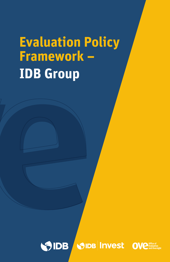# **Evaluation Policy Framework – IDB Group**



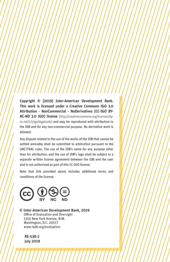Copyright © [2019] Inter-American Development Bank. This work is licensed under a Creative Commons IGO 3.0 Attribution - NonCommercial - NoDerivatives (CC-IGO BY-NC-ND 3.0 IGO) license [\(http://creativecommons.org/licenses/by](http://creativecommons.org/licenses/by-nc-nd/3.0/igo/legalcode)[nc-nd/3.0/igo/legalcode](http://creativecommons.org/licenses/by-nc-nd/3.0/igo/legalcode)) and may be reproduced with attribution to the IDB and for any non-commercial purpose. No derivative work is allowed.

Any dispute related to the use of the works of the IDB that cannot be settled amicably shall be submitted to arbitration pursuant to the UNCITRAL rules. The use of the IDB's name for any purpose other than for attribution, and the use of IDB's logo shall be subject to a separate written license agreement between the IDB and the user and is not authorized as part of this CC-IGO license.

Note that link provided above includes additional terms and conditions of the license.



© Inter-American Development Bank, 2019 Office of Evaluation and Oversight 1350 New York Avenue, N.W. Washington, D.C. 20577 [www.iadb.org/evaluation](http://www.iadb.org/evaluation)

RE-538-2 July 2019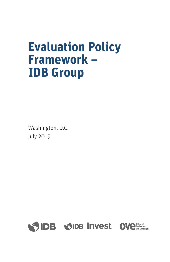### **Evaluation Policy Framework – IDB Group**

Washington, D.C. July 2019

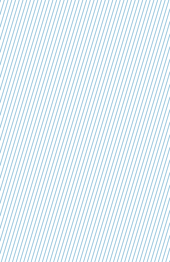$\sqrt{}$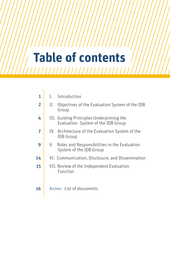# **Table of contents**

[I. Introduction](#page-6-0) [II. Objectives of the Evaluation System of the IDB](#page-7-0)  [Group](#page-7-0) [III. Guiding Principles Underpinning the](#page-9-0)  [Evaluation System of the IDB Group](#page-9-0) [IV. Architecture of the Evaluation System of the](#page-12-0)  [IDB Group](#page-12-0) [V. Roles and Responsibilities in the Evaluation](#page-14-0)  [System of the IDB Group](#page-14-0) [VI. Communication, Disclosure, and Dissemination](#page-19-0) [VII. Review of the Independent Evaluation](#page-20-0)  [Function](#page-20-0) [Annex: List of documents](#page-21-0) 1 2 4 7 9 14 15 16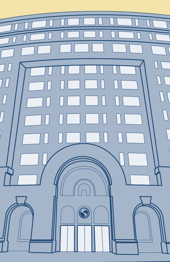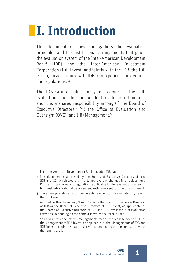## <span id="page-6-0"></span>**I. Introduction**

This document outlines and gathers the evaluation principles and the institutional arrangements that guide the evaluation system of the Inter-American Development  $Bank<sup>1</sup>$  (IDB) and the Inter-American Investment Corporation (IDB Invest, and jointly with the IDB, the IDB Group), in accordance with IDB Group policies, procedures and regulations.<sup>2,3</sup>

The IDB Group evaluation system comprises the selfevaluation and the independent evaluation functions and it is a shared responsibility among (i) the Board of Executive Directors,<sup>4</sup> (ii) the Office of Evaluation and Oversight (OVE), and (iii) Management.5

<sup>1</sup> The Inter-American Development Bank includes IDB Lab.

<sup>2</sup> This document is approved by the Boards of Executive Directors of the IDB and IIC, which would similarly approve any changes in this document. Policies, procedures and regulations applicable to the evaluation system of both institutions should be consistent with norms set forth in this document.

<sup>3</sup> The annex provides a list of documents relevant to the evaluation system of the IDB Group.

<sup>4</sup> As used in this document, "Board" means the Board of Executive Directors of IDB or the Board of Executive Directors of IDB Invest, as applicable, or the Boards of Executive Directors of IDB and IDB Invest for joint evaluation activities, depending on the context in which the term is used.

<sup>5</sup> As used in this document, "Management" means the Management of IDB or the Management of IDB Invest, as applicable, or the Managements of IDB and IDB Invest for joint evaluation activities, depending on the context in which the term is used.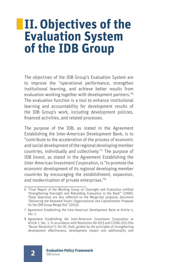# <span id="page-7-0"></span>**II.Objectives of the Evaluation System of the IDB Group**

The objectives of the IDB Group's Evaluation System are to improve the "operational performance, strengthen institutional learning, and achieve better results from evaluation working together with development partners."6 The evaluation function is a tool to enhance institutional learning and accountability for development results of the IDB Group's work, including development policies, financed activities, and related processes.

The purpose of the IDB, as stated in the Agreement Establishing the Inter-American Development Bank, is to "contribute to the acceleration of the process of economic and social development of the regional developing member countries, individually and collectively."7 The purpose of IDB Invest, as stated in the Agreement Establishing the Inter-American Investment Corporation, is "to promote the economic development of its regional developing member countries by encouraging the establishment, expansion, and modernization of private enterprises."8

<sup>6</sup> "Final Report of the Working Group on Oversight and Evaluation entitled 'Strengthening Oversight and Rebuilding Evaluation in the Bank'" (1999). These objectives are also reflected on the Merge-Out proposal, document "Delivering the Renewed Vision: Organizational and Capitalization Proposal for the IDB Group Merge-Out" (2015).

<sup>7</sup> Agreement Establishing the Inter-American Development Bank at Article 1, Sec. 1.

<sup>8</sup> Agreement Establishing the Inter-American Investment Corporation at Article 1, Sec. 1. In accordance with Resolution AG-9/15 and CII/AG-2/15 (the "Busan Resolution"), the IIC shall, guided by the principles of strengthening development effectiveness, development impact and additionality and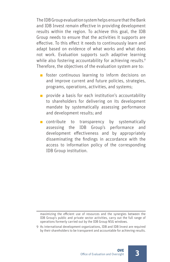The IDB Group evaluation system helps ensure that the Bank and IDB Invest remain effective in providing development results within the region. To achieve this goal, the IDB Group needs to ensure that the activities it supports are effective. To this effect it needs to continuously learn and adapt based on evidence of what works and what does not work. Evaluation supports such adaptive learning while also fostering accountability for achieving results.<sup>9</sup> Therefore, the objectives of the evaluation system are to:

- foster continuous learning to inform decisions on and improve current and future policies, strategies, programs, operations, activities, and systems;
- provide a basis for each institution's accountability to shareholders for delivering on its development mandate by systematically assessing performance and development results; and
- **■** contribute to transparency by systematically assessing the IDB Group's performance and development effectiveness and by appropriately disseminating the findings in accordance with the access to information policy of the corresponding IDB Group institution.

maximizing the efficient use of resources and the synergies between the IDB Group's public and private sector activities, carry out the full range of operations formerly carried out by the IDB Group NSG windows.

<sup>9</sup> As international development organizations, IDB and IDB Invest are required by their shareholders to be transparent and accountable for achieving results.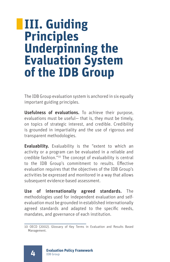#### <span id="page-9-0"></span>**III. Guiding Principles Underpinning the Evaluation System of the IDB Group**

The IDB Group evaluation system is anchored in six equally important guiding principles.

Usefulness of evaluations. To achieve their purpose, evaluations must be useful— that is, they must be timely, on topics of strategic interest, and credible. Credibility is grounded in impartiality and the use of rigorous and transparent methodologies.

**Evaluability.** Evaluability is the "extent to which an activity or a program can be evaluated in a reliable and credible fashion."10 The concept of evaluability is central to the IDB Group's commitment to results. Effective evaluation requires that the objectives of the IDB Group's activities be expressed and monitored in a way that allows subsequent evidence-based assessment.

Use of internationally agreed standards. The methodologies used for independent evaluation and selfevaluation must be grounded in established internationally agreed standards and adapted to the specific needs, mandates, and governance of each institution.

<sup>10</sup> OECD (2002). Glossary of Key Terms in Evaluation and Results Based Management.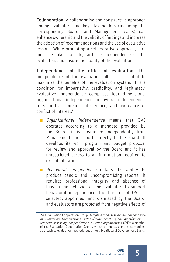**Collaboration.** A collaborative and constructive approach among evaluators and key stakeholders (including the corresponding Boards and Management teams) can enhance ownership and the validity of findings and increase the adoption of recommendations and the use of evaluative lessons. While promoting a collaborative approach, care must be taken to safeguard the independence of the evaluators and ensure the quality of the evaluations.

Independence of the office of evaluation. The independence of the evaluation office is essential to maximize the benefits of the evaluation system. It is a condition for impartiality, credibility, and legitimacy. Evaluative independence comprises four dimensions: organizational independence, behavioral independence, freedom from outside interference, and avoidance of conflict of interest.<sup>11</sup>

- **■** Organizational independence means that OVE operates according to a mandate provided by the Board; it is positioned independently from Management and reports directly to the Board. It develops its work program and budget proposal for review and approval by the Board and it has unrestricted access to all information required to execute its work.
- **■** Behavioral independence entails the ability to produce candid and uncompromising reports. It requires professional integrity and absence of bias in the behavior of the evaluator. To support behavioral independence, the Director of OVE is selected, appointed, and dismissed by the Board, and evaluators are protected from negative effects of

<sup>11</sup> See Evaluation Cooperation Group, Template for Assessing the Independence of Evaluation Organizations, [https://www.ecgnet.org/document/annex-ii1](https://www.ecgnet.org/document/annex-ii1-template-assessing-independence-evaluation-organizations) [template-assessing-independence-evaluation-organizations](https://www.ecgnet.org/document/annex-ii1-template-assessing-independence-evaluation-organizations). OVE is a member of the Evaluation Cooperation Group, which promotes a more harmonized approach to evaluation methodology among Multilateral Development Banks.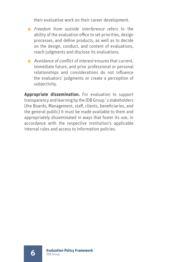their evaluative work on their career development.

- Freedom from outside interference refers to the ability of the evaluation office to set priorities, design processes, and define products, as well as to decide on the design, conduct, and content of evaluations, reach judgments and disclose its evaluations.
- **■** Avoidance of conflict of interest ensures that current, immediate future, and prior professional or personal relationships and considerations do not influence the evaluators' judgments or create a perception of subjectivity.

Appropriate dissemination. For evaluation to support transparency and learning by the IDB Group´s stakeholders (the Boards, Management, staff, clients, beneficiaries, and the general public) it must be made available to them and appropriately disseminated in ways that foster its use, in accordance with the respective institution's applicable internal rules and access to information policies.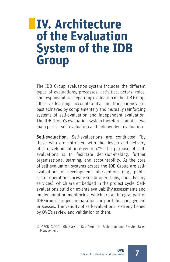#### <span id="page-12-0"></span>**IV. Architecture of the Evaluation System of the IDB Group**

The IDB Group evaluation system includes the different types of evaluations, processes, activities, actors, roles, and responsibilities regarding evaluation in the IDB Group. Effective learning, accountability, and transparency are best achieved by complementary and mutually reinforcing systems of self-evaluation and independent evaluation. The IDB Group's evaluation system therefore contains two main parts— self-evaluation and independent evaluation.

Self-evaluation. Self-evaluations are conducted "by those who are entrusted with the design and delivery of a development intervention."12 The purpose of selfevaluations is to facilitate decision-making, further organizational learning, and accountability. At the core of self-evaluation systems across the IDB Group are selfevaluations of development interventions (e.g., public sector operations, private sector operations, and advisory services), which are embedded in the project cycle. Selfevaluations build on ex-ante evaluability assessments and implementation monitoring, which are an integral part of IDB Group's project preparation and portfolio management processes. The validity of self-evaluations is strengthened by OVE's review and validation of them.

<sup>12</sup> OECD (2002). Glossary of Key Terms in Evaluation and Results Based Management.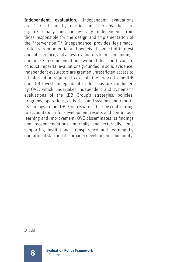Independent evaluation. Independent evaluations are "carried out by entities and persons that are organizationally and behaviorally independent from those responsible for the design and implementation of the intervention."13 Independence provides legitimacy, protects from potential and perceived conflict of interest and interference, and allows evaluators to present findings and make recommendations without fear or favor. To conduct impartial evaluations grounded in solid evidence, independent evaluators are granted unrestricted access to all information required to execute their work. In the IDB and IDB Invest, independent evaluations are conducted by OVE, which undertakes independent and systematic evaluations of the IDB Group's strategies, policies, programs, operations, activities, and systems and reports its findings to the IDB Group Boards, thereby contributing to accountability for development results and continuous learning and improvement. OVE disseminates its findings and recommendations internally and externally, thus supporting institutional transparency and learning by operational staff and the broader development community.

13 Ibid.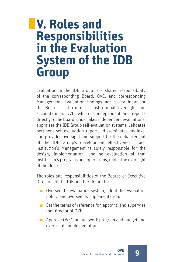#### <span id="page-14-0"></span>**V. Roles and Responsibilities in the Evaluation System of the IDB Group**

Evaluation in the IDB Group is a shared responsibility of the corresponding Board, OVE, and corresponding Management. Evaluation findings are a key input for the Board as it exercises institutional oversight and accountability. OVE, which is independent and reports directly to the Board, undertakes independent evaluations, appraises the IDB Group self-evaluation systems, validates pertinent self-evaluation reports, disseminates findings, and provides oversight and support for the enhancement of the IDB Group's development effectiveness. Each institution's Management is solely responsible for the design, implementation, and self-evaluation of that institution's programs and operations, under the oversight of the Board.

The roles and responsibilities of the Boards of Executive Directors of the IDB and the IIC are to.

- Oversee the evaluation system, adopt the evaluation policy, and oversee its implementation.
- Set the terms of reference for, appoint, and supervise the Director of OVE.
- **■** Approve OVE's annual work program and budget and oversee its implementation.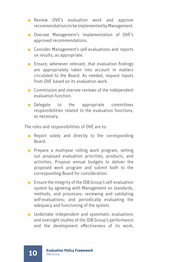- **■** Review OVE's evaluation work and approve recommendations to be implemented by Management.
- Oversee Management's implementation of OVE's approved recommendations.
- Consider Management's self-evaluations and reports on results, as appropriate.
- Ensure, whenever relevant, that evaluation findings are appropriately taken into account in matters circulated to the Board. As needed, request inputs from OVE based on its evaluation work.
- Commission and oversee reviews of the independent evaluation function.
- **■** Delegate to the appropriate committees responsibilities related to the evaluation functions, as necessary.

The roles and responsibilities of OVE are to:

- Report solely and directly to the corresponding Board.
- Prepare a multiyear rolling work program, setting out proposed evaluation priorities, products, and activities. Propose annual budgets to deliver the proposed work program and submit both to the corresponding Board for consideration.
- Ensure the integrity of the IDB Group's self-evaluation system by agreeing with Management on standards, methods, and processes; reviewing and validating self-evaluations; and periodically evaluating the adequacy and functioning of the system.
- Undertake independent and systematic evaluations and oversight studies of the IDB Group's performance and the development effectiveness of its work,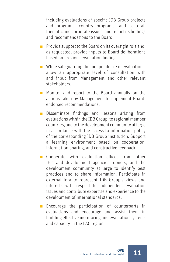including evaluations of specific IDB Group projects and programs, country programs, and sectoral, thematic and corporate issues, and report its findings and recommendations to the Board.

- Provide support to the Board on its oversight role and, as requested, provide inputs to Board deliberations based on previous evaluation findings.
- While safeguarding the independence of evaluations, allow an appropriate level of consultation with and input from Management and other relevant stakeholders.
- Monitor and report to the Board annually on the actions taken by Management to implement Boardendorsed recommendations.
- **■** Disseminate findings and lessons arising from evaluations within the IDB Group, to regional member countries, and to the development community at large in accordance with the access to information policy of the corresponding IDB Group institution. Support a learning environment based on cooperation, information-sharing, and constructive feedback.
- Cooperate with evaluation offices from other IFIs and development agencies, donors, and the development community at large to identify best practices and to share information. Participate in external fora to represent IDB Group's views and interests with respect to independent evaluation issues and contribute expertise and experience to the development of international standards.
- **■** Encourage the participation of counterparts in evaluations and encourage and assist them in building effective monitoring and evaluation systems and capacity in the LAC region.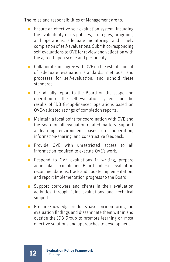The roles and responsibilities of Management are to:

- Ensure an effective self-evaluation system, including the evaluability of its policies, strategies, programs, and operations, adequate monitoring, and timely completion of self-evaluations. Submit corresponding self-evaluations to OVE for review and validation with the agreed-upon scope and periodicity.
- Collaborate and agree with OVE on the establishment of adequate evaluation standards, methods, and processes for self-evaluation, and uphold these standards.
- Periodically report to the Board on the scope and operation of the self-evaluation system and the results of IDB Group-financed operations based on OVE-validated ratings of completion reports.
- Maintain a focal point for coordination with OVE and the Board on all evaluation-related matters. Support a learning environment based on cooperation, information-sharing, and constructive feedback.
- **■** Provide OVE with unrestricted access to all information required to execute OVE's work.
- Respond to OVE evaluations in writing, prepare action plans to implement Board-endorsed evaluation recommendations, track and update implementation, and report implementation progress to the Board.
- Support borrowers and clients in their evaluation activities through joint evaluations and technical support.
- Prepare knowledge products based on monitoring and evaluation findings and disseminate them within and outside the IDB Group to promote learning on most effective solutions and approaches to development.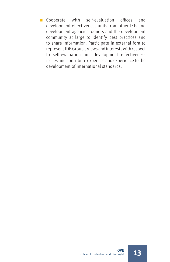**■** Cooperate with self-evaluation offices and development effectiveness units from other IFIs and development agencies, donors and the development community at large to identify best practices and to share information. Participate in external fora to represent IDB Group's views and interests with respect to self-evaluation and development effectiveness issues and contribute expertise and experience to the development of international standards.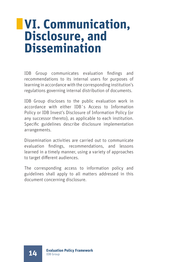#### <span id="page-19-0"></span>**VI. Communication, Disclosure, and Dissemination**

IDB Group communicates evaluation findings and recommendations to its internal users for purposes of learning in accordance with the corresponding institution's regulations governing internal distribution of documents.

IDB Group discloses to the public evaluation work in accordance with either IDB´s Access to Information Policy or IDB Invest's Disclosure of Information Policy (or any successor thereto), as applicable to each institution. Specific guidelines describe disclosure implementation arrangements.

Dissemination activities are carried out to communicate evaluation findings, recommendations, and lessons learned in a timely manner, using a variety of approaches to target different audiences.

The corresponding access to information policy and guidelines shall apply to all matters addressed in this document concerning disclosure.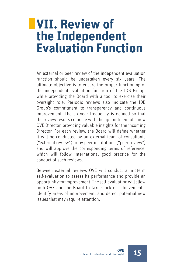#### <span id="page-20-0"></span>**VII. Review of the Independent Evaluation Function**

An external or peer review of the independent evaluation function should be undertaken every six years. The ultimate objective is to ensure the proper functioning of the independent evaluation function of the IDB Group, while providing the Board with a tool to exercise their oversight role. Periodic reviews also indicate the IDB Group's commitment to transparency and continuous improvement. The six-year frequency is defined so that the review results coincide with the appointment of a new OVE Director, providing valuable insights for the incoming Director. For each review, the Board will define whether it will be conducted by an external team of consultants ("external review") or by peer institutions ("peer review") and will approve the corresponding terms of reference, which will follow international good practice for the conduct of such reviews.

Between external reviews OVE will conduct a midterm self-evaluation to assess its performance and provide an opportunity for improvement. The self-evaluation will allow both OVE and the Board to take stock of achievements, identify areas of improvement, and detect potential new issues that may require attention.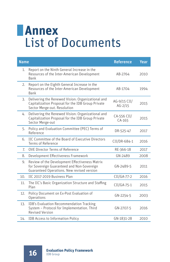#### <span id="page-21-0"></span>**Annex** List of Documents

| <b>Name</b> |                                                                                                                                            | <b>Reference</b>            | Year |
|-------------|--------------------------------------------------------------------------------------------------------------------------------------------|-----------------------------|------|
| 1.          | Report on the Ninth General Increase in the<br>Resources of the Inter-American Development<br><b>Bank</b>                                  | AB-2764                     | 2010 |
| 2.          | Report on the Eighth General Increase in the<br>Resources of the Inter-American Development<br>Bank                                        | AB-1704                     | 1994 |
| 3.          | Delivering the Renewed Vision: Organizational and<br>Capitalization Proposal for the IDB Group Private<br>Sector Merge-out. Resolution     | AG-9/15 CII/<br>$AG - 2/15$ | 2015 |
| 4.          | Delivering the Renewed Vision: Organizational and<br>Capitalization Proposal for the IDB Group Private<br>Sector Merge-out                 | CA-556 CII/<br>CA-165       | 2015 |
| 5.          | Policy and Evaluation Committee (PEC) Terms of<br>Reference                                                                                | DR-525-47                   | 2017 |
| 6.          | IIC Committee of the Board of Executive Directors<br>Terms of Reference                                                                    | CII/DR-684-1                | 2016 |
| 7.          | OVE Director Terms of Reference                                                                                                            | RE-366-18                   | 2017 |
| 8.          | Development Effectiveness Framework                                                                                                        | GN-2489                     | 2008 |
| 9.          | Review of the Development Effectiveness Matrix<br>for Sovereign Guaranteed and Non-Sovereign<br>Guaranteed Operations. New revised version | GN-2489-5                   | 2011 |
| 10.         | IIC 2017-2019 Business Plan                                                                                                                | CII/GA-77-2                 | 2016 |
| 11.         | The IIC's Basic Organization Structure and Staffing<br>Plan                                                                                | CII/GA-75-1                 | 2015 |
| 12.         | Policy Document on Ex-Post Evaluation of<br>Operations                                                                                     | GN-2254-5                   | 2003 |
| 13.         | IDB's Evaluation Recommendation Tracking<br>System - Protocol for Implementation. Third<br><b>Revised Version</b>                          | GN-2707-5                   | 2016 |
| 14.         | IDB Access to Information Policy                                                                                                           | GN-1831-28                  | 2010 |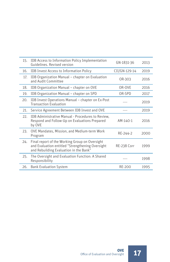| 15. | IDB Access to Information Policy Implementation<br>Guidelines. Revised version                                                               | GN-1831-36    | 2013 |
|-----|----------------------------------------------------------------------------------------------------------------------------------------------|---------------|------|
| 16. | <b>IDB Invest Access to Information Policy</b>                                                                                               | CII/GN-129-14 | 2019 |
| 17. | IDB Organization Manual – chapter on Evaluation<br>and Audit Committee                                                                       | OR-303        | 2016 |
| 18. | IDB Organization Manual - chapter on OVE                                                                                                     | OR-OVE        | 2016 |
| 19. | IDB Organization Manual - chapter on SPD                                                                                                     | OR-SPD        | 2017 |
| 20. | IDB Invest Operations Manual – chapter on Ex-Post<br><b>Transaction Evaluation</b>                                                           |               | 2019 |
| 21. | Service Agreement Between IDB Invest and OVE                                                                                                 |               | 2019 |
| 22. | IDB Administrative Manual - Procedures to Review.<br>Respond and Follow-Up on Evaluations Prepared<br>by OVE                                 | AM-140-1      | 2016 |
| 23. | <b>OVE Mandates, Mission, and Medium-term Work</b><br>Program                                                                                | RE-244-2      | 2000 |
| 24. | Final report of the Working Group on Oversight<br>and Evaluation entitled "Strengthening Oversight<br>and Rebuilding Evaluation in the Bank" | RE-238 Corr   | 1999 |
| 25. | The Oversight and Evaluation Function: A Shared<br>Responsibility                                                                            |               | 1998 |
| 26. | <b>Bank Evaluation System</b>                                                                                                                | RE-200        | 1995 |